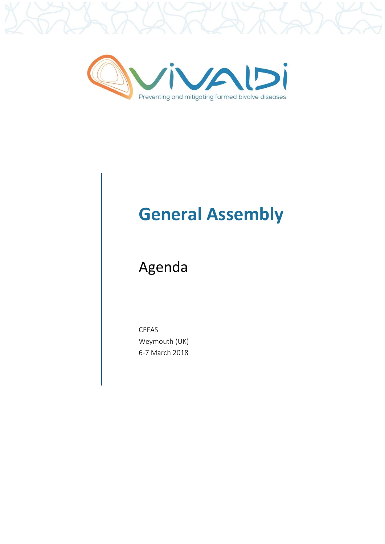

## **General Assembly**

## Agenda

CEFAS Weymouth (UK) 6-7 March 2018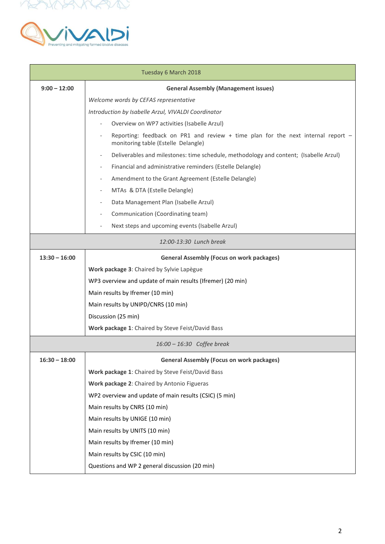



| Tuesday 6 March 2018       |                                                                                                                         |  |
|----------------------------|-------------------------------------------------------------------------------------------------------------------------|--|
| $9:00 - 12:00$             | <b>General Assembly (Management issues)</b>                                                                             |  |
|                            | Welcome words by CEFAS representative                                                                                   |  |
|                            | Introduction by Isabelle Arzul, VIVALDI Coordinator                                                                     |  |
|                            | Overview on WP7 activities (Isabelle Arzul)                                                                             |  |
|                            | Reporting: feedback on PR1 and review + time plan for the next internal report -<br>monitoring table (Estelle Delangle) |  |
|                            | Deliverables and milestones: time schedule, methodology and content; (Isabelle Arzul)                                   |  |
|                            | Financial and administrative reminders (Estelle Delangle)                                                               |  |
|                            | Amendment to the Grant Agreement (Estelle Delangle)                                                                     |  |
|                            | MTAs & DTA (Estelle Delangle)<br>$\overline{\phantom{a}}$                                                               |  |
|                            | Data Management Plan (Isabelle Arzul)                                                                                   |  |
|                            | Communication (Coordinating team)                                                                                       |  |
|                            | Next steps and upcoming events (Isabelle Arzul)                                                                         |  |
| 12:00-13:30 Lunch break    |                                                                                                                         |  |
| $13:30 - 16:00$            | <b>General Assembly (Focus on work packages)</b>                                                                        |  |
|                            | Work package 3: Chaired by Sylvie Lapègue                                                                               |  |
|                            | WP3 overview and update of main results (Ifremer) (20 min)                                                              |  |
|                            | Main results by Ifremer (10 min)                                                                                        |  |
|                            | Main results by UNIPD/CNRS (10 min)                                                                                     |  |
|                            | Discussion (25 min)                                                                                                     |  |
|                            | Work package 1: Chaired by Steve Feist/David Bass                                                                       |  |
| 16:00 - 16:30 Coffee break |                                                                                                                         |  |
| $16:30 - 18:00$            | <b>General Assembly (Focus on work packages)</b>                                                                        |  |
|                            | Work package 1: Chaired by Steve Feist/David Bass                                                                       |  |
|                            | Work package 2: Chaired by Antonio Figueras                                                                             |  |
|                            | WP2 overview and update of main results (CSIC) (5 min)                                                                  |  |
|                            | Main results by CNRS (10 min)                                                                                           |  |
|                            | Main results by UNIGE (10 min)                                                                                          |  |
|                            | Main results by UNITS (10 min)                                                                                          |  |
|                            | Main results by Ifremer (10 min)                                                                                        |  |
|                            | Main results by CSIC (10 min)                                                                                           |  |
|                            | Questions and WP 2 general discussion (20 min)                                                                          |  |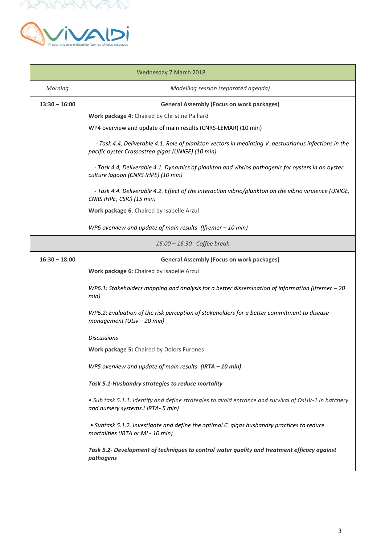



| Wednesday 7 March 2018     |                                                                                                                                                           |  |
|----------------------------|-----------------------------------------------------------------------------------------------------------------------------------------------------------|--|
| Morning                    | Modelling session (separated agenda)                                                                                                                      |  |
| $13:30 - 16:00$            | <b>General Assembly (Focus on work packages)</b>                                                                                                          |  |
|                            | Work package 4: Chaired by Christine Paillard                                                                                                             |  |
|                            | WP4 overview and update of main results (CNRS-LEMAR) (10 min)                                                                                             |  |
|                            | - Task 4.4, Deliverable 4.1. Role of plankton vectors in mediating V. aestuarianus infections in the<br>pacific oyster Crassostrea gigas (UNIGE) (10 min) |  |
|                            | - Task 4.4, Deliverable 4.1. Dynamics of plankton and vibrios pathogenic for oysters in an oyster<br>culture lagoon (CNRS IHPE) (10 min)                  |  |
|                            | - Task 4.4. Deliverable 4.2. Effect of the interaction vibrio/plankton on the vibrio virulence (UNIGE,<br>CNRS IHPE, CSIC) (15 min)                       |  |
|                            | Work package 6: Chaired by Isabelle Arzul                                                                                                                 |  |
|                            | WP6 overview and update of main results (Ifremer $-10$ min)                                                                                               |  |
| 16:00 - 16:30 Coffee break |                                                                                                                                                           |  |
| $16:30 - 18:00$            | <b>General Assembly (Focus on work packages)</b>                                                                                                          |  |
|                            | Work package 6: Chaired by Isabelle Arzul                                                                                                                 |  |
|                            | WP6.1: Stakeholders mapping and analysis for a better dissemination of information (Ifremer $-20$<br>min)                                                 |  |
|                            | WP6.2: Evaluation of the risk perception of stakeholders for a better commitment to disease<br>management (ULiv - 20 min)                                 |  |
|                            | <b>Discussions</b>                                                                                                                                        |  |
|                            | Work package 5: Chaired by Dolors Furones                                                                                                                 |  |
|                            | WP5 overview and update of main results $(IRTA - 10 min)$                                                                                                 |  |
|                            | Task 5.1-Husbandry strategies to reduce mortality                                                                                                         |  |
|                            | . Sub task 5.1.1. Identify and define strategies to avoid entrance and survival of OsHV-1 in hatchery<br>and nursery systems.(IRTA-5 min)                 |  |
|                            | • Subtask 5.1.2. Investigate and define the optimal C. gigas husbandry practices to reduce<br>mortalities (IRTA or MI - 10 min)                           |  |
|                            | Task 5.2- Development of techniques to control water quality and treatment efficacy against<br>pathogens                                                  |  |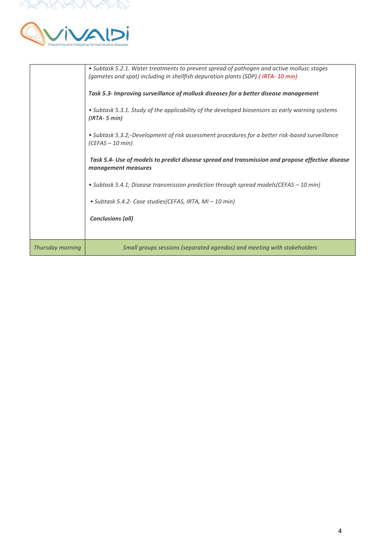



| Thursday morning | • Subtask 5.4.1; Disease transmission prediction through spread models (CEFAS – 10 min)<br>• Subtask 5.4.2- Case studies (CEFAS, IRTA, MI – 10 min)<br><b>Conclusions (all)</b><br>Small groups sessions (separated agendas) and meeting with stakeholders |
|------------------|------------------------------------------------------------------------------------------------------------------------------------------------------------------------------------------------------------------------------------------------------------|
|                  | Task 5.4- Use of models to predict disease spread and transmission and propose effective disease<br>management measures                                                                                                                                    |
|                  | · Subtask 5.3.2;-Development of risk assessment procedures for a better risk-based surveillance<br>$(CEFAS - 10 min)$                                                                                                                                      |
|                  | • Subtask 5.3.1. Study of the applicability of the developed biosensors as early warning systems<br>$(IRTA-5 min)$                                                                                                                                         |
|                  | Task 5.3- Improving surveillance of mollusk diseases for a better disease management                                                                                                                                                                       |
|                  | • Subtask 5.2.1. Water treatments to prevent spread of pathogen and active mollusc stages<br>(gametes and spat) including in shellfish depuration plants (SDP). (IRTA-10 min)                                                                              |